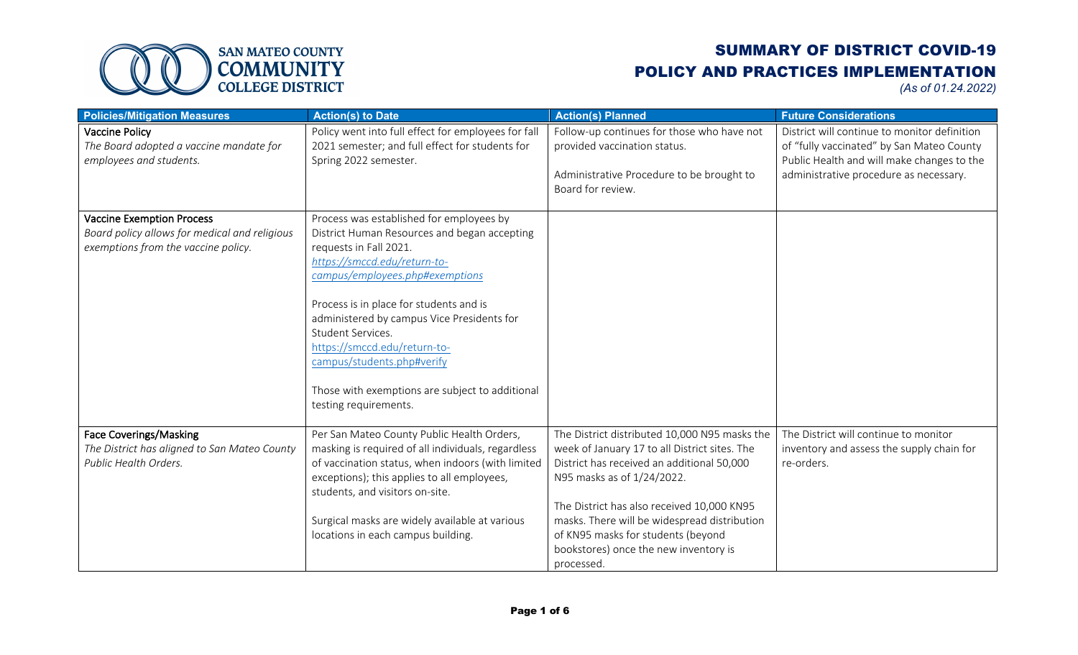

| <b>Policies/Mitigation Measures</b>                                                                                      | <b>Action(s) to Date</b>                                                                                                                                                                                                                                                                                                                                                                                                                      | <b>Action(s) Planned</b>                                                                                                                                                                                                                                                                                                                                              | <b>Future Considerations</b>                                                                                                                                                      |
|--------------------------------------------------------------------------------------------------------------------------|-----------------------------------------------------------------------------------------------------------------------------------------------------------------------------------------------------------------------------------------------------------------------------------------------------------------------------------------------------------------------------------------------------------------------------------------------|-----------------------------------------------------------------------------------------------------------------------------------------------------------------------------------------------------------------------------------------------------------------------------------------------------------------------------------------------------------------------|-----------------------------------------------------------------------------------------------------------------------------------------------------------------------------------|
| <b>Vaccine Policy</b><br>The Board adopted a vaccine mandate for<br>employees and students.                              | Policy went into full effect for employees for fall<br>2021 semester; and full effect for students for<br>Spring 2022 semester.                                                                                                                                                                                                                                                                                                               | Follow-up continues for those who have not<br>provided vaccination status.<br>Administrative Procedure to be brought to<br>Board for review.                                                                                                                                                                                                                          | District will continue to monitor definition<br>of "fully vaccinated" by San Mateo County<br>Public Health and will make changes to the<br>administrative procedure as necessary. |
| <b>Vaccine Exemption Process</b><br>Board policy allows for medical and religious<br>exemptions from the vaccine policy. | Process was established for employees by<br>District Human Resources and began accepting<br>requests in Fall 2021.<br>https://smccd.edu/return-to-<br>campus/employees.php#exemptions<br>Process is in place for students and is<br>administered by campus Vice Presidents for<br>Student Services.<br>https://smccd.edu/return-to-<br>campus/students.php#verify<br>Those with exemptions are subject to additional<br>testing requirements. |                                                                                                                                                                                                                                                                                                                                                                       |                                                                                                                                                                                   |
| <b>Face Coverings/Masking</b><br>The District has aligned to San Mateo County<br>Public Health Orders.                   | Per San Mateo County Public Health Orders,<br>masking is required of all individuals, regardless<br>of vaccination status, when indoors (with limited<br>exceptions); this applies to all employees,<br>students, and visitors on-site.<br>Surgical masks are widely available at various<br>locations in each campus building.                                                                                                               | The District distributed 10,000 N95 masks the<br>week of January 17 to all District sites. The<br>District has received an additional 50,000<br>N95 masks as of 1/24/2022.<br>The District has also received 10,000 KN95<br>masks. There will be widespread distribution<br>of KN95 masks for students (beyond<br>bookstores) once the new inventory is<br>processed. | The District will continue to monitor<br>inventory and assess the supply chain for<br>re-orders.                                                                                  |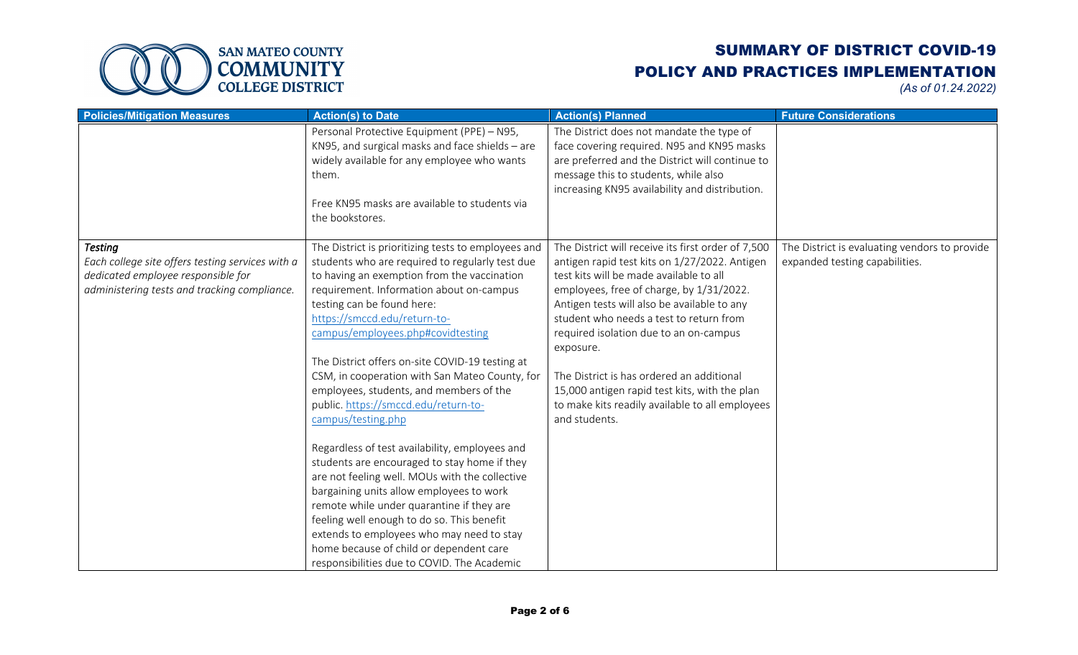

| <b>Policies/Mitigation Measures</b>                                                                                                                      | <b>Action(s) to Date</b>                                                                                                                                                                                                                                                                                                                                                                                                                                                                                                                                                                                                                                                                                                                                                                                                                                                                                                                             | <b>Action(s) Planned</b>                                                                                                                                                                                                                                                                                                                                                                                                                                                                                      | <b>Future Considerations</b>                                                    |
|----------------------------------------------------------------------------------------------------------------------------------------------------------|------------------------------------------------------------------------------------------------------------------------------------------------------------------------------------------------------------------------------------------------------------------------------------------------------------------------------------------------------------------------------------------------------------------------------------------------------------------------------------------------------------------------------------------------------------------------------------------------------------------------------------------------------------------------------------------------------------------------------------------------------------------------------------------------------------------------------------------------------------------------------------------------------------------------------------------------------|---------------------------------------------------------------------------------------------------------------------------------------------------------------------------------------------------------------------------------------------------------------------------------------------------------------------------------------------------------------------------------------------------------------------------------------------------------------------------------------------------------------|---------------------------------------------------------------------------------|
|                                                                                                                                                          | Personal Protective Equipment (PPE) - N95,<br>KN95, and surgical masks and face shields - are<br>widely available for any employee who wants<br>them.<br>Free KN95 masks are available to students via<br>the bookstores.                                                                                                                                                                                                                                                                                                                                                                                                                                                                                                                                                                                                                                                                                                                            | The District does not mandate the type of<br>face covering required. N95 and KN95 masks<br>are preferred and the District will continue to<br>message this to students, while also<br>increasing KN95 availability and distribution.                                                                                                                                                                                                                                                                          |                                                                                 |
| <b>Testing</b><br>Each college site offers testing services with a<br>dedicated employee responsible for<br>administering tests and tracking compliance. | The District is prioritizing tests to employees and<br>students who are required to regularly test due<br>to having an exemption from the vaccination<br>requirement. Information about on-campus<br>testing can be found here:<br>https://smccd.edu/return-to-<br>campus/employees.php#covidtesting<br>The District offers on-site COVID-19 testing at<br>CSM, in cooperation with San Mateo County, for<br>employees, students, and members of the<br>public. https://smccd.edu/return-to-<br>campus/testing.php<br>Regardless of test availability, employees and<br>students are encouraged to stay home if they<br>are not feeling well. MOUs with the collective<br>bargaining units allow employees to work<br>remote while under quarantine if they are<br>feeling well enough to do so. This benefit<br>extends to employees who may need to stay<br>home because of child or dependent care<br>responsibilities due to COVID. The Academic | The District will receive its first order of 7,500<br>antigen rapid test kits on 1/27/2022. Antigen<br>test kits will be made available to all<br>employees, free of charge, by 1/31/2022.<br>Antigen tests will also be available to any<br>student who needs a test to return from<br>required isolation due to an on-campus<br>exposure.<br>The District is has ordered an additional<br>15,000 antigen rapid test kits, with the plan<br>to make kits readily available to all employees<br>and students. | The District is evaluating vendors to provide<br>expanded testing capabilities. |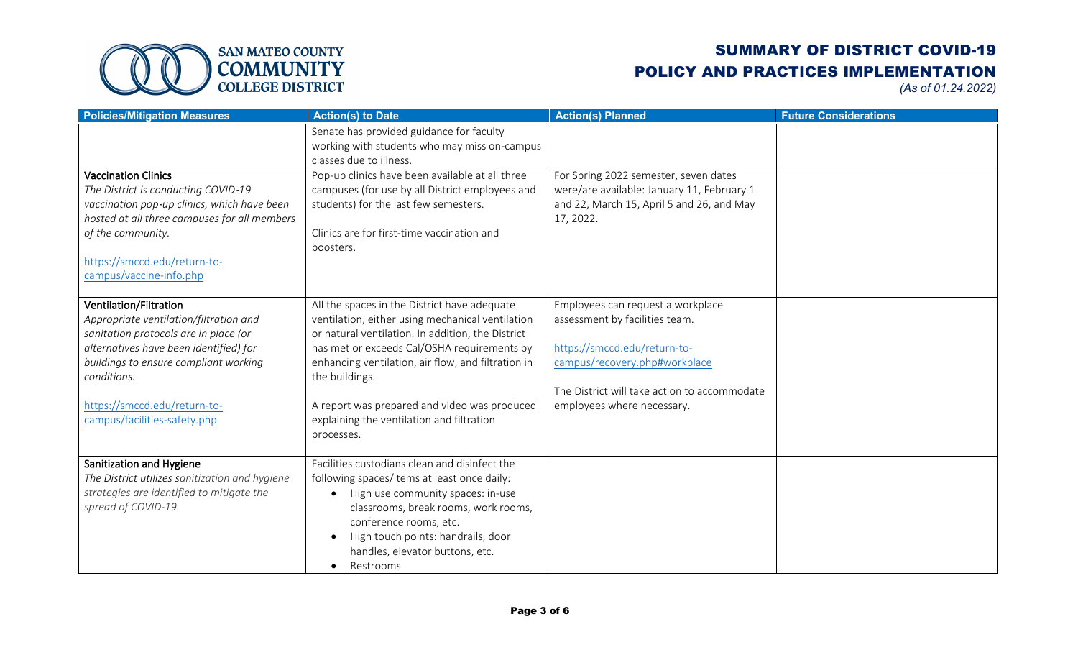

| <b>Policies/Mitigation Measures</b>                                                                                                                                                                                                                                         | <b>Action(s) to Date</b>                                                                                                                                                                                                                                                                                                                                                                | <b>Action(s) Planned</b>                                                                                                                                                                                           | <b>Future Considerations</b> |
|-----------------------------------------------------------------------------------------------------------------------------------------------------------------------------------------------------------------------------------------------------------------------------|-----------------------------------------------------------------------------------------------------------------------------------------------------------------------------------------------------------------------------------------------------------------------------------------------------------------------------------------------------------------------------------------|--------------------------------------------------------------------------------------------------------------------------------------------------------------------------------------------------------------------|------------------------------|
|                                                                                                                                                                                                                                                                             | Senate has provided guidance for faculty<br>working with students who may miss on-campus<br>classes due to illness.                                                                                                                                                                                                                                                                     |                                                                                                                                                                                                                    |                              |
| <b>Vaccination Clinics</b><br>The District is conducting COVID-19<br>vaccination pop-up clinics, which have been<br>hosted at all three campuses for all members<br>of the community.<br>https://smccd.edu/return-to-<br>campus/vaccine-info.php                            | Pop-up clinics have been available at all three<br>campuses (for use by all District employees and<br>students) for the last few semesters.<br>Clinics are for first-time vaccination and<br>boosters.                                                                                                                                                                                  | For Spring 2022 semester, seven dates<br>were/are available: January 11, February 1<br>and 22, March 15, April 5 and 26, and May<br>17, 2022.                                                                      |                              |
| Ventilation/Filtration<br>Appropriate ventilation/filtration and<br>sanitation protocols are in place (or<br>alternatives have been identified) for<br>buildings to ensure compliant working<br>conditions.<br>https://smccd.edu/return-to-<br>campus/facilities-safety.php | All the spaces in the District have adequate<br>ventilation, either using mechanical ventilation<br>or natural ventilation. In addition, the District<br>has met or exceeds Cal/OSHA requirements by<br>enhancing ventilation, air flow, and filtration in<br>the buildings.<br>A report was prepared and video was produced<br>explaining the ventilation and filtration<br>processes. | Employees can request a workplace<br>assessment by facilities team.<br>https://smccd.edu/return-to-<br>campus/recovery.php#workplace<br>The District will take action to accommodate<br>employees where necessary. |                              |
| Sanitization and Hygiene<br>The District utilizes sanitization and hygiene<br>strategies are identified to mitigate the<br>spread of COVID-19.                                                                                                                              | Facilities custodians clean and disinfect the<br>following spaces/items at least once daily:<br>High use community spaces: in-use<br>classrooms, break rooms, work rooms,<br>conference rooms, etc.<br>High touch points: handrails, door<br>handles, elevator buttons, etc.<br>Restrooms                                                                                               |                                                                                                                                                                                                                    |                              |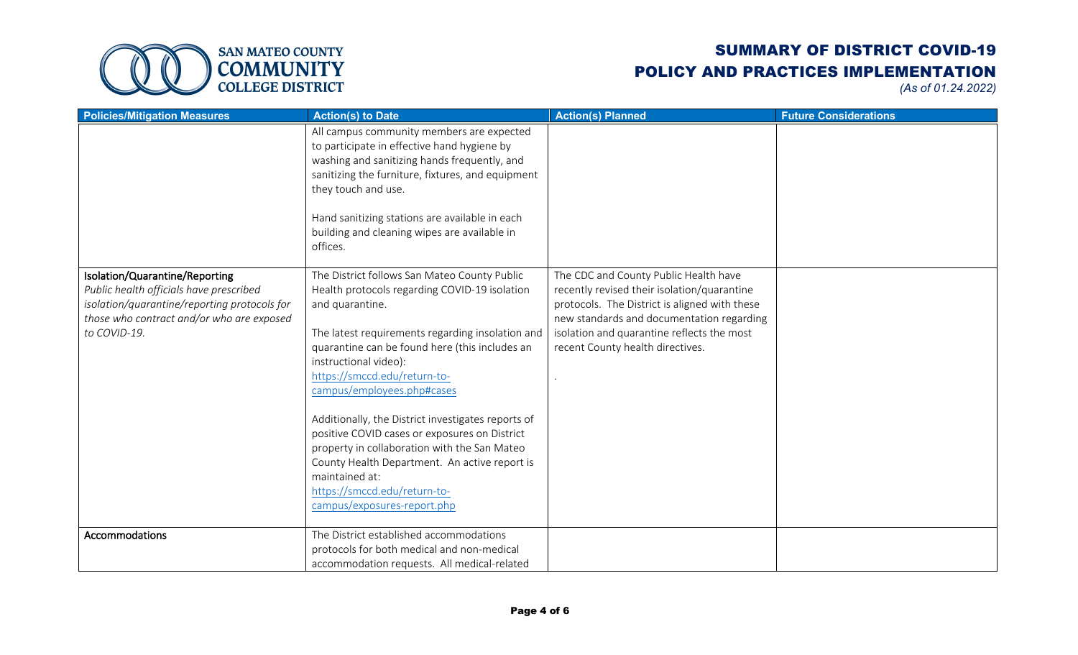

| <b>Policies/Mitigation Measures</b>                                                                                                                                                    | <b>Action(s) to Date</b>                                                                                                                                                                                                                                                                                                                                                                                                                                                                                                                                                                               | <b>Action(s) Planned</b>                                                                                                                                                                                                                                             | <b>Future Considerations</b> |
|----------------------------------------------------------------------------------------------------------------------------------------------------------------------------------------|--------------------------------------------------------------------------------------------------------------------------------------------------------------------------------------------------------------------------------------------------------------------------------------------------------------------------------------------------------------------------------------------------------------------------------------------------------------------------------------------------------------------------------------------------------------------------------------------------------|----------------------------------------------------------------------------------------------------------------------------------------------------------------------------------------------------------------------------------------------------------------------|------------------------------|
|                                                                                                                                                                                        | All campus community members are expected<br>to participate in effective hand hygiene by<br>washing and sanitizing hands frequently, and<br>sanitizing the furniture, fixtures, and equipment<br>they touch and use.<br>Hand sanitizing stations are available in each<br>building and cleaning wipes are available in<br>offices.                                                                                                                                                                                                                                                                     |                                                                                                                                                                                                                                                                      |                              |
| Isolation/Quarantine/Reporting<br>Public health officials have prescribed<br>isolation/quarantine/reporting protocols for<br>those who contract and/or who are exposed<br>to COVID-19. | The District follows San Mateo County Public<br>Health protocols regarding COVID-19 isolation<br>and quarantine.<br>The latest requirements regarding insolation and<br>quarantine can be found here (this includes an<br>instructional video):<br>https://smccd.edu/return-to-<br>campus/employees.php#cases<br>Additionally, the District investigates reports of<br>positive COVID cases or exposures on District<br>property in collaboration with the San Mateo<br>County Health Department. An active report is<br>maintained at:<br>https://smccd.edu/return-to-<br>campus/exposures-report.php | The CDC and County Public Health have<br>recently revised their isolation/quarantine<br>protocols. The District is aligned with these<br>new standards and documentation regarding<br>isolation and quarantine reflects the most<br>recent County health directives. |                              |
| Accommodations                                                                                                                                                                         | The District established accommodations                                                                                                                                                                                                                                                                                                                                                                                                                                                                                                                                                                |                                                                                                                                                                                                                                                                      |                              |
|                                                                                                                                                                                        | protocols for both medical and non-medical<br>accommodation requests. All medical-related                                                                                                                                                                                                                                                                                                                                                                                                                                                                                                              |                                                                                                                                                                                                                                                                      |                              |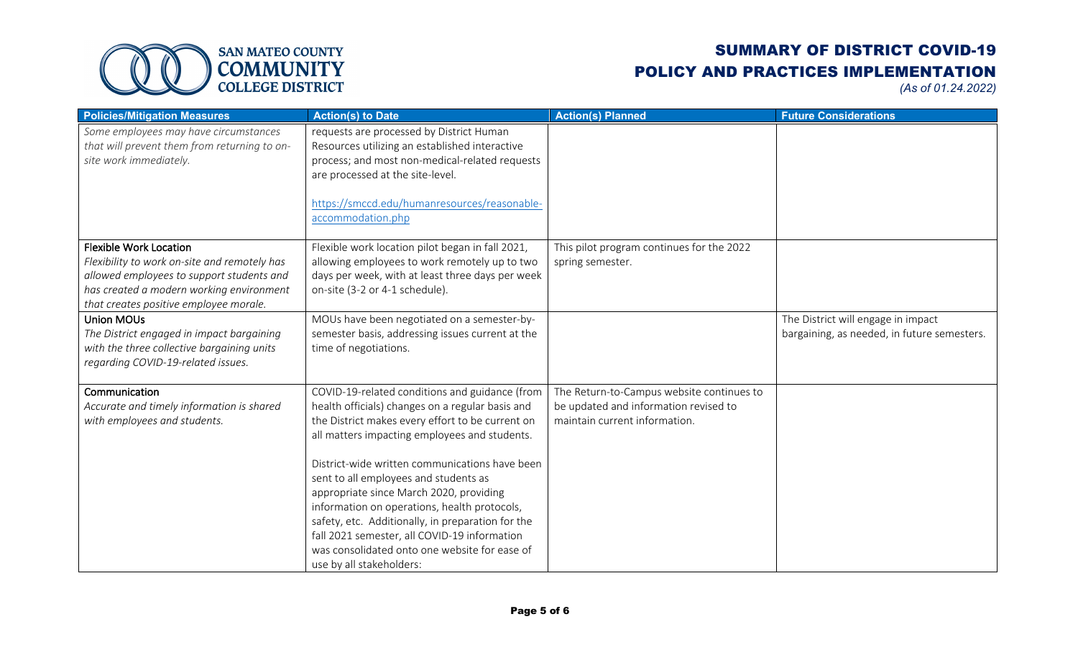

| <b>Policies/Mitigation Measures</b>                                                                                                                                                                              | <b>Action(s) to Date</b>                                                                                                                                                                                                                                                                                                                                                                                                                                                                                                                                                        | <b>Action(s) Planned</b>                                                                                            | <b>Future Considerations</b>                                                      |
|------------------------------------------------------------------------------------------------------------------------------------------------------------------------------------------------------------------|---------------------------------------------------------------------------------------------------------------------------------------------------------------------------------------------------------------------------------------------------------------------------------------------------------------------------------------------------------------------------------------------------------------------------------------------------------------------------------------------------------------------------------------------------------------------------------|---------------------------------------------------------------------------------------------------------------------|-----------------------------------------------------------------------------------|
| Some employees may have circumstances<br>that will prevent them from returning to on-<br>site work immediately.                                                                                                  | requests are processed by District Human<br>Resources utilizing an established interactive<br>process; and most non-medical-related requests<br>are processed at the site-level.<br>https://smccd.edu/humanresources/reasonable-<br>accommodation.php                                                                                                                                                                                                                                                                                                                           |                                                                                                                     |                                                                                   |
| <b>Flexible Work Location</b><br>Flexibility to work on-site and remotely has<br>allowed employees to support students and<br>has created a modern working environment<br>that creates positive employee morale. | Flexible work location pilot began in fall 2021,<br>allowing employees to work remotely up to two<br>days per week, with at least three days per week<br>on-site (3-2 or 4-1 schedule).                                                                                                                                                                                                                                                                                                                                                                                         | This pilot program continues for the 2022<br>spring semester.                                                       |                                                                                   |
| <b>Union MOUs</b><br>The District engaged in impact bargaining<br>with the three collective bargaining units<br>regarding COVID-19-related issues.                                                               | MOUs have been negotiated on a semester-by-<br>semester basis, addressing issues current at the<br>time of negotiations.                                                                                                                                                                                                                                                                                                                                                                                                                                                        |                                                                                                                     | The District will engage in impact<br>bargaining, as needed, in future semesters. |
| Communication<br>Accurate and timely information is shared<br>with employees and students.                                                                                                                       | COVID-19-related conditions and guidance (from<br>health officials) changes on a regular basis and<br>the District makes every effort to be current on<br>all matters impacting employees and students.<br>District-wide written communications have been<br>sent to all employees and students as<br>appropriate since March 2020, providing<br>information on operations, health protocols,<br>safety, etc. Additionally, in preparation for the<br>fall 2021 semester, all COVID-19 information<br>was consolidated onto one website for ease of<br>use by all stakeholders: | The Return-to-Campus website continues to<br>be updated and information revised to<br>maintain current information. |                                                                                   |